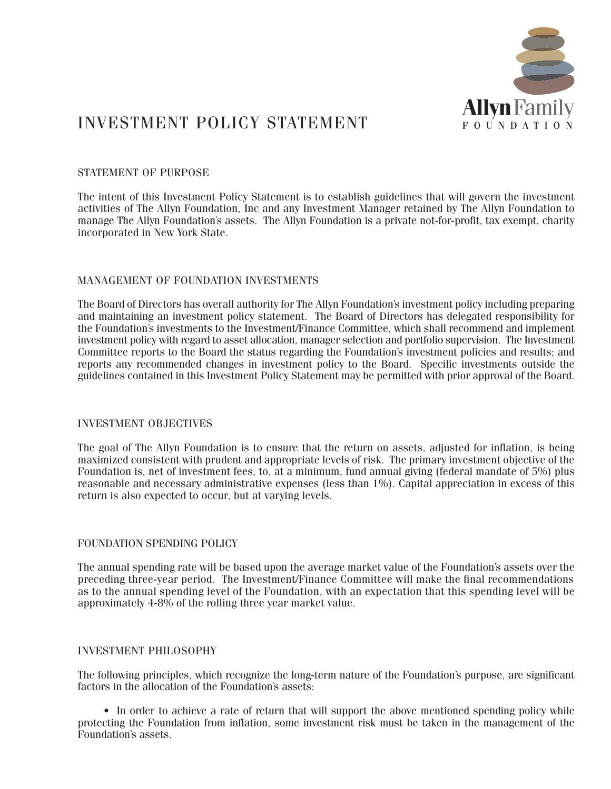

# INVESTMENT POLICY STATEMENT

# STATEMENT OF PURPOSE

The intent of this Investment Policy Statement is to establish guidelines that will govern the investment activities of The Allyn Foundation, Inc and any Investment Manager retained by The Allyn Foundation to manage The Allyn Foundation's assets. The Allyn Foundation is a private not-for-profit, tax exempt, charity incorporated in New York State.

# MANAGEMENT OF FOUNDATION INVESTMENTS

The Board of Directors has overall authority for The Allyn Foundation's investment policy including preparing and maintaining an investment policy statement. The Board of Directors has delegated responsibility for the Foundation's investments to the Investment/Finance Committee, which shall recommend and implement investment policy with regard to asset allocation, manager selection and portfolio supervision. The Investment Committee reports to the Board the status regarding the Foundation's investment policies and results; and reports any recommended changes in investment policy to the Board. Specific investments outside the guidelines contained in this Investment Policy Statement may be permitted with prior approval of the Board.

# INVESTMENT OBJECTIVES

The goal of The Allyn Foundation is to ensure that the return on assets, adjusted for inflation, is being maximized consistent with prudent and appropriate levels of risk. The primary investment objective of the Foundation is, net of investment fees, to, at a minimum, fund annual giving (federal mandate of 5%) plus reasonable and necessary administrative expenses (less than 1%). Capital appreciation in excess of this return is also expected to occur, but at varying levels.

# FOUNDATION SPENDING POLICY

The annual spending rate will be based upon the average market value of the Foundation's assets over the preceding three-year period. The Investment/Finance Committee will make the final recommendations as to the annual spending level of the Foundation, with an expectation that this spending level will be approximately 4-8% of the rolling three year market value.

# INVESTMENT PHILOSOPHY

The following principles, which recognize the long-term nature of the Foundation's purpose, are significant factors in the allocation of the Foundation's assets:

• In order to achieve a rate of return that will support the above mentioned spending policy while protecting the Foundation from inflation, some investment risk must be taken in the management of the Foundation's assets.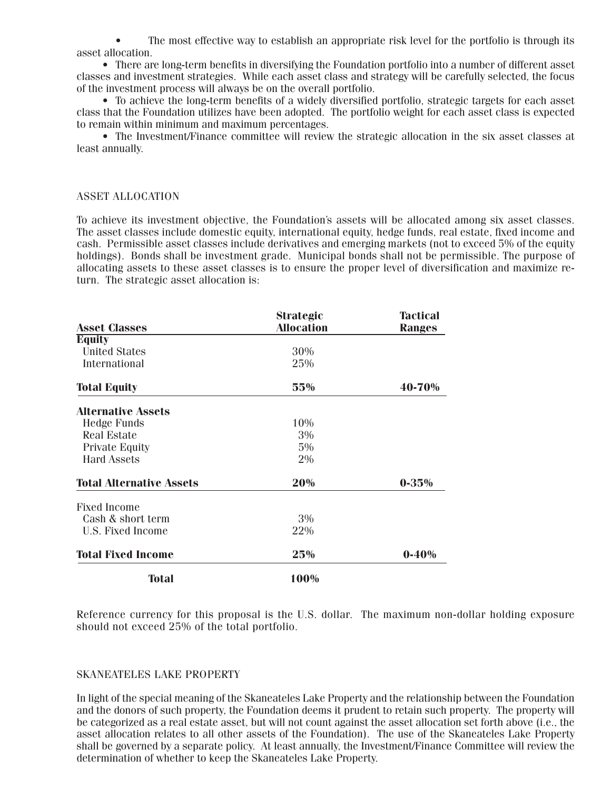• The most effective way to establish an appropriate risk level for the portfolio is through its asset allocation.

• There are long-term benefits in diversifying the Foundation portfolio into a number of different asset classes and investment strategies. While each asset class and strategy will be carefully selected, the focus of the investment process will always be on the overall portfolio.

• To achieve the long-term benefits of a widely diversified portfolio, strategic targets for each asset class that the Foundation utilizes have been adopted. The portfolio weight for each asset class is expected to remain within minimum and maximum percentages.

• The Investment/Finance committee will review the strategic allocation in the six asset classes at least annually.

#### ASSET ALLOCATION

To achieve its investment objective, the Foundation's assets will be allocated among six asset classes. The asset classes include domestic equity, international equity, hedge funds, real estate, fixed income and cash. Permissible asset classes include derivatives and emerging markets (not to exceed 5% of the equity holdings). Bonds shall be investment grade. Municipal bonds shall not be permissible. The purpose of allocating assets to these asset classes is to ensure the proper level of diversification and maximize return. The strategic asset allocation is:

| <b>Asset Classes</b>            | <b>Strategic</b><br><b>Allocation</b> | <b>Tactical</b><br><b>Ranges</b> |
|---------------------------------|---------------------------------------|----------------------------------|
| <b>Equity</b>                   |                                       |                                  |
| <b>United States</b>            | 30%                                   |                                  |
|                                 |                                       |                                  |
| International                   | 25%                                   |                                  |
| <b>Total Equity</b>             | 55%                                   | 40-70%                           |
| <b>Alternative Assets</b>       |                                       |                                  |
| <b>Hedge Funds</b>              | 10%                                   |                                  |
| <b>Real Estate</b>              | 3%                                    |                                  |
| <b>Private Equity</b>           | 5%                                    |                                  |
| <b>Hard Assets</b>              | 2%                                    |                                  |
| <b>Total Alternative Assets</b> | 20%                                   | $0 - 35\%$                       |
| <b>Fixed Income</b>             |                                       |                                  |
| Cash & short term               | $3\%$                                 |                                  |
| U.S. Fixed Income               | 22%                                   |                                  |
| <b>Total Fixed Income</b>       | 25%                                   | $0 - 40%$                        |
| <b>Total</b>                    | 100%                                  |                                  |

Reference currency for this proposal is the U.S. dollar. The maximum non-dollar holding exposure should not exceed 25% of the total portfolio.

# SKANEATELES LAKE PROPERTY

In light of the special meaning of the Skaneateles Lake Property and the relationship between the Foundation and the donors of such property, the Foundation deems it prudent to retain such property. The property will be categorized as a real estate asset, but will not count against the asset allocation set forth above (i.e., the asset allocation relates to all other assets of the Foundation). The use of the Skaneateles Lake Property shall be governed by a separate policy. At least annually, the Investment/Finance Committee will review the determination of whether to keep the Skaneateles Lake Property.